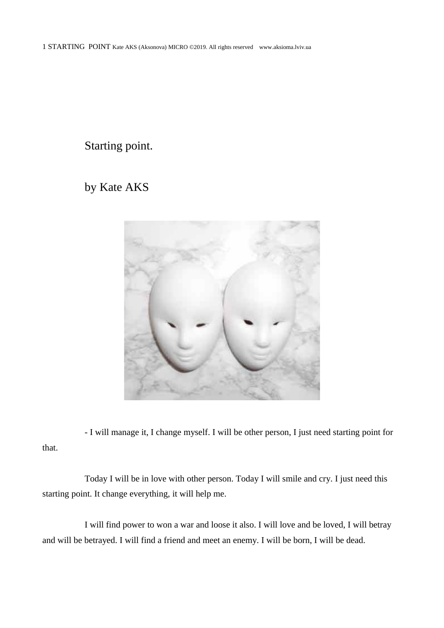Starting point.

by Kate AKS



- I will manage it, I change myself. I will be other person, I just need starting point for that.

Today I will be in love with other person. Today I will smile and cry. I just need this starting point. It change everything, it will help me.

I will find power to won a war and loose it also. I will love and be loved, I will betray and will be betrayed. I will find a friend and meet an enemy. I will be born, I will be dead.